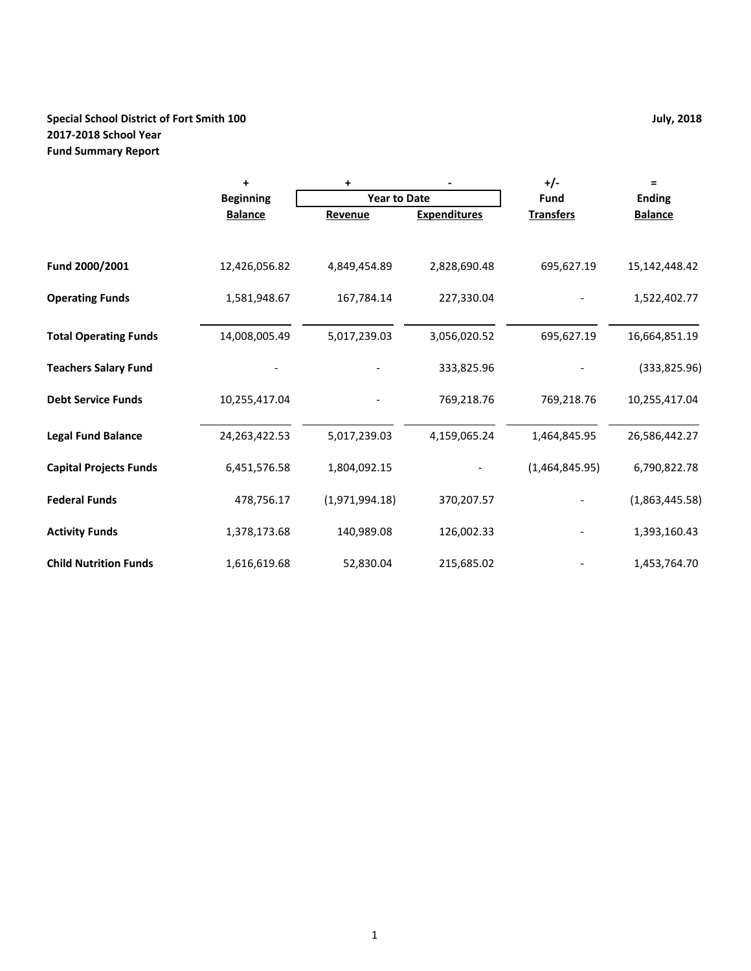# **Special School District of Fort Smith 100 July, 2018 2017-2018 School Year Fund Summary Report**

|                               | $\ddot{}$        | +                   |                     | $+/-$            | $\equiv$       |
|-------------------------------|------------------|---------------------|---------------------|------------------|----------------|
|                               | <b>Beginning</b> | <b>Year to Date</b> |                     | <b>Fund</b>      | <b>Ending</b>  |
|                               | <b>Balance</b>   | Revenue             | <b>Expenditures</b> | <b>Transfers</b> | <b>Balance</b> |
|                               |                  |                     |                     |                  |                |
| Fund 2000/2001                | 12,426,056.82    | 4,849,454.89        | 2,828,690.48        | 695,627.19       | 15,142,448.42  |
| <b>Operating Funds</b>        | 1,581,948.67     | 167,784.14          | 227,330.04          |                  | 1,522,402.77   |
| <b>Total Operating Funds</b>  | 14,008,005.49    | 5,017,239.03        | 3,056,020.52        | 695,627.19       | 16,664,851.19  |
| <b>Teachers Salary Fund</b>   |                  |                     | 333,825.96          |                  | (333,825.96)   |
| <b>Debt Service Funds</b>     | 10,255,417.04    |                     | 769,218.76          | 769,218.76       | 10,255,417.04  |
| <b>Legal Fund Balance</b>     | 24, 263, 422. 53 | 5,017,239.03        | 4,159,065.24        | 1,464,845.95     | 26,586,442.27  |
| <b>Capital Projects Funds</b> | 6,451,576.58     | 1,804,092.15        |                     | (1,464,845.95)   | 6,790,822.78   |
| <b>Federal Funds</b>          | 478,756.17       | (1,971,994.18)      | 370,207.57          |                  | (1,863,445.58) |
| <b>Activity Funds</b>         | 1,378,173.68     | 140,989.08          | 126,002.33          |                  | 1,393,160.43   |
| <b>Child Nutrition Funds</b>  | 1,616,619.68     | 52,830.04           | 215,685.02          |                  | 1,453,764.70   |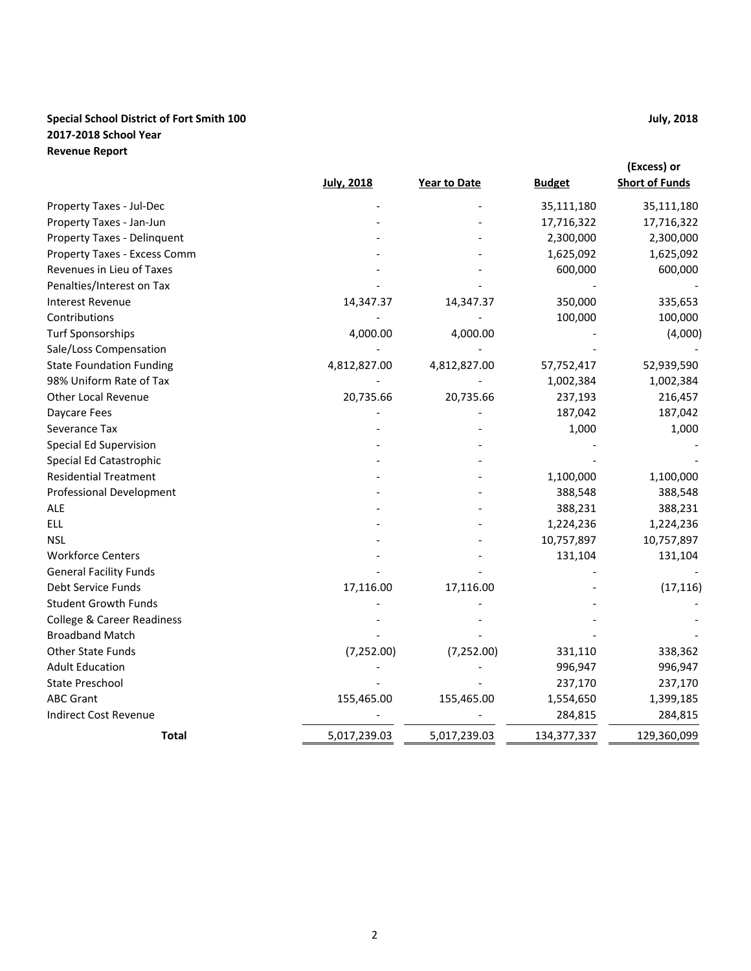# **Special School District of Fort Smith 100 July, 2018 2017-2018 School Year Revenue Report**

|                                       |                   |              |               | (Excess) or           |
|---------------------------------------|-------------------|--------------|---------------|-----------------------|
|                                       | <b>July, 2018</b> | Year to Date | <b>Budget</b> | <b>Short of Funds</b> |
| Property Taxes - Jul-Dec              |                   |              | 35,111,180    | 35,111,180            |
| Property Taxes - Jan-Jun              |                   |              | 17,716,322    | 17,716,322            |
| Property Taxes - Delinquent           |                   |              | 2,300,000     | 2,300,000             |
| Property Taxes - Excess Comm          |                   |              | 1,625,092     | 1,625,092             |
| Revenues in Lieu of Taxes             |                   |              | 600,000       | 600,000               |
| Penalties/Interest on Tax             |                   |              |               |                       |
| <b>Interest Revenue</b>               | 14,347.37         | 14,347.37    | 350,000       | 335,653               |
| Contributions                         |                   |              | 100,000       | 100,000               |
| <b>Turf Sponsorships</b>              | 4,000.00          | 4,000.00     |               | (4,000)               |
| Sale/Loss Compensation                |                   |              |               |                       |
| <b>State Foundation Funding</b>       | 4,812,827.00      | 4,812,827.00 | 57,752,417    | 52,939,590            |
| 98% Uniform Rate of Tax               |                   |              | 1,002,384     | 1,002,384             |
| <b>Other Local Revenue</b>            | 20,735.66         | 20,735.66    | 237,193       | 216,457               |
| Daycare Fees                          |                   |              | 187,042       | 187,042               |
| Severance Tax                         |                   |              | 1,000         | 1,000                 |
| Special Ed Supervision                |                   |              |               |                       |
| Special Ed Catastrophic               |                   |              |               |                       |
| <b>Residential Treatment</b>          |                   |              | 1,100,000     | 1,100,000             |
| <b>Professional Development</b>       |                   |              | 388,548       | 388,548               |
| <b>ALE</b>                            |                   |              | 388,231       | 388,231               |
| <b>ELL</b>                            |                   |              | 1,224,236     | 1,224,236             |
| <b>NSL</b>                            |                   |              | 10,757,897    | 10,757,897            |
| <b>Workforce Centers</b>              |                   |              | 131,104       | 131,104               |
| <b>General Facility Funds</b>         |                   |              |               |                       |
| Debt Service Funds                    | 17,116.00         | 17,116.00    |               | (17, 116)             |
| <b>Student Growth Funds</b>           |                   |              |               |                       |
| <b>College &amp; Career Readiness</b> |                   |              |               |                       |
| <b>Broadband Match</b>                |                   |              |               |                       |
| <b>Other State Funds</b>              | (7, 252.00)       | (7, 252.00)  | 331,110       | 338,362               |
| <b>Adult Education</b>                |                   |              | 996,947       | 996,947               |
| <b>State Preschool</b>                |                   |              | 237,170       | 237,170               |
| <b>ABC Grant</b>                      | 155,465.00        | 155,465.00   | 1,554,650     | 1,399,185             |
| <b>Indirect Cost Revenue</b>          |                   |              | 284,815       | 284,815               |
| <b>Total</b>                          | 5,017,239.03      | 5,017,239.03 | 134, 377, 337 | 129,360,099           |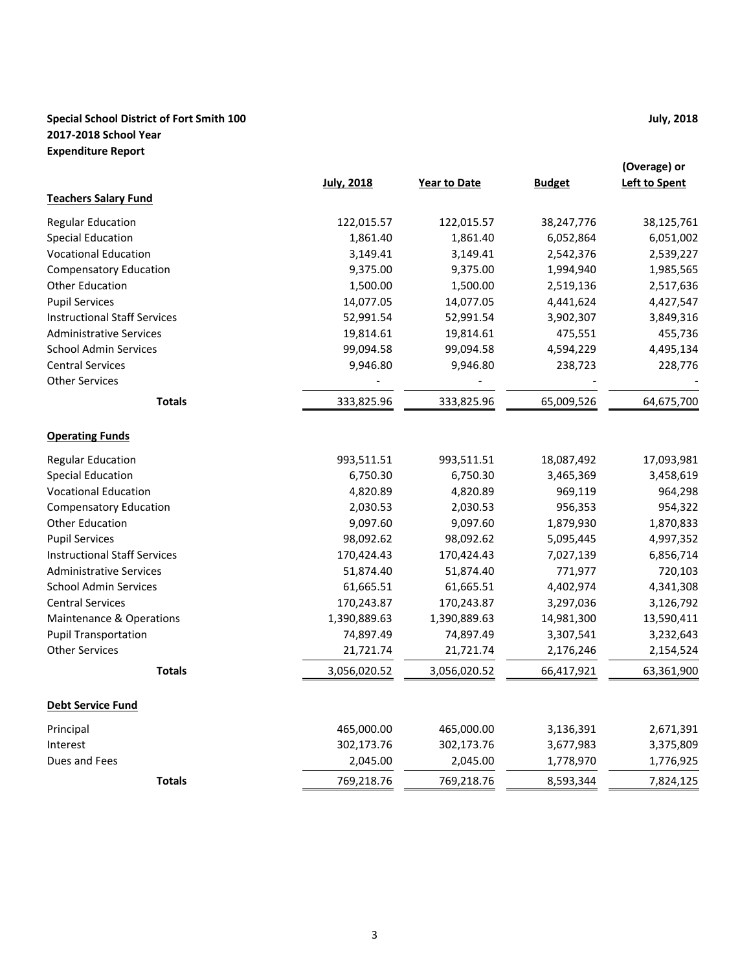# **Special School District of Fort Smith 100 July, 2018 2017-2018 School Year Expenditure Report**

|                                     | <b>July, 2018</b> | <b>Year to Date</b> | <b>Budget</b> | (Overage) or<br><b>Left to Spent</b> |
|-------------------------------------|-------------------|---------------------|---------------|--------------------------------------|
| <b>Teachers Salary Fund</b>         |                   |                     |               |                                      |
| <b>Regular Education</b>            | 122,015.57        | 122,015.57          | 38,247,776    | 38,125,761                           |
| <b>Special Education</b>            | 1,861.40          | 1,861.40            | 6,052,864     | 6,051,002                            |
| <b>Vocational Education</b>         | 3,149.41          | 3,149.41            | 2,542,376     | 2,539,227                            |
| <b>Compensatory Education</b>       | 9,375.00          | 9,375.00            | 1,994,940     | 1,985,565                            |
| <b>Other Education</b>              | 1,500.00          | 1,500.00            | 2,519,136     | 2,517,636                            |
| <b>Pupil Services</b>               | 14,077.05         | 14,077.05           | 4,441,624     | 4,427,547                            |
| <b>Instructional Staff Services</b> | 52,991.54         | 52,991.54           | 3,902,307     | 3,849,316                            |
| <b>Administrative Services</b>      | 19,814.61         | 19,814.61           | 475,551       | 455,736                              |
| <b>School Admin Services</b>        | 99,094.58         | 99,094.58           | 4,594,229     | 4,495,134                            |
| <b>Central Services</b>             | 9,946.80          | 9,946.80            | 238,723       | 228,776                              |
| <b>Other Services</b>               |                   |                     |               |                                      |
| <b>Totals</b>                       | 333,825.96        | 333,825.96          | 65,009,526    | 64,675,700                           |
| <b>Operating Funds</b>              |                   |                     |               |                                      |
| <b>Regular Education</b>            | 993,511.51        | 993,511.51          | 18,087,492    | 17,093,981                           |
| <b>Special Education</b>            | 6,750.30          | 6,750.30            | 3,465,369     | 3,458,619                            |
| <b>Vocational Education</b>         | 4,820.89          | 4,820.89            | 969,119       | 964,298                              |
| <b>Compensatory Education</b>       | 2,030.53          | 2,030.53            | 956,353       | 954,322                              |
| <b>Other Education</b>              | 9,097.60          | 9,097.60            | 1,879,930     | 1,870,833                            |
| <b>Pupil Services</b>               | 98,092.62         | 98,092.62           | 5,095,445     | 4,997,352                            |
| <b>Instructional Staff Services</b> | 170,424.43        | 170,424.43          | 7,027,139     | 6,856,714                            |
| <b>Administrative Services</b>      | 51,874.40         | 51,874.40           | 771,977       | 720,103                              |
| <b>School Admin Services</b>        | 61,665.51         | 61,665.51           | 4,402,974     | 4,341,308                            |
| <b>Central Services</b>             | 170,243.87        | 170,243.87          | 3,297,036     | 3,126,792                            |
| Maintenance & Operations            | 1,390,889.63      | 1,390,889.63        | 14,981,300    | 13,590,411                           |
| <b>Pupil Transportation</b>         | 74,897.49         | 74,897.49           | 3,307,541     | 3,232,643                            |
| <b>Other Services</b>               | 21,721.74         | 21,721.74           | 2,176,246     | 2,154,524                            |
| <b>Totals</b>                       | 3,056,020.52      | 3,056,020.52        | 66,417,921    | 63,361,900                           |
| <b>Debt Service Fund</b>            |                   |                     |               |                                      |
| Principal                           | 465,000.00        | 465,000.00          | 3,136,391     | 2,671,391                            |
| Interest                            | 302,173.76        | 302,173.76          | 3,677,983     | 3,375,809                            |
| Dues and Fees                       | 2,045.00          | 2,045.00            | 1,778,970     | 1,776,925                            |
| <b>Totals</b>                       | 769,218.76        | 769,218.76          | 8,593,344     | 7,824,125                            |